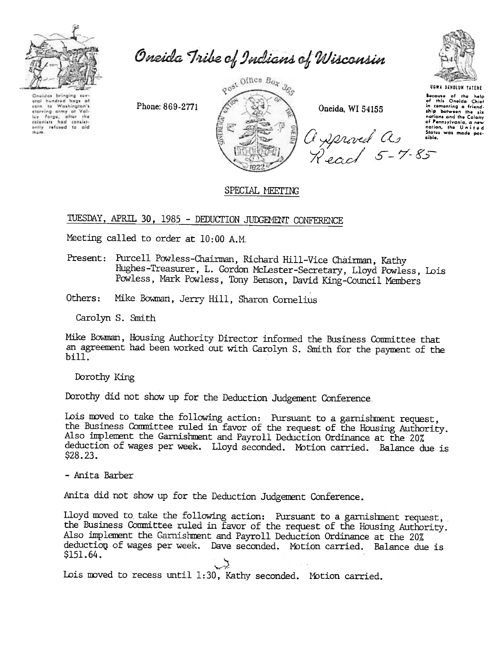

Oneida Tribe of Indians of Wisconsin

Onaides bringing su araí hundred bags af<br>corn ta Washington's exarring army at Value<br>Icy Yargo, after the<br>relations had cantilet-<br>only refused to aid<br>thom.

Phone: 869-2771



Oneida, WI 54155



**UGWA DEHOLUN YATENE** Because of the help<br>of this Oneida Chief<br>in comenting a friend-<br>ship between the six nations and the Colony nations and the Colony<br>of Pennsylvania, a new<br>nation, the United<br>States was made pos-<br>sible.

## SPECIAL MEETING

TUESDAY, APRIL 30, 1985 - DEDUCTION JUDGEMENT CONFERENCE

Meeting called to order at 10:00 A.M.

Present: Purcell Powless-Chairman, Richard Hill-Vice Chairman, Kathy Hughes-Treasurer, L. Gordon McLester-Secretary, Lloyd Powless, Lois Powless, Mark Powless, Tony Benson, David King-Council Members

Others: Mike Bowman, Jerry Hill, Sharon Cornelius

Carolyn S. Smith

Mike Bowman, Housing Authority Director informed the Business Committee that an agreement had been worked out with Carolyn S. Smith for the payment of the  $\text{bill}$ .

Dorothy King

Dorothy did not show up for the Deduction Judgement Conference.

Lois moved to take the following action: Pursuant to a garnishment request, the Business Committee ruled in favor of the request of the Housing Authority. Also implement the Garnishment and Payroll Deduction Ordinance at the 20% deduction of wages per week. Lloyd seconded. Motion carried. Balance due is  $$28.23$ .

- Anita Barber

Anita did not show up for the Deduction Judgement Conference.

Lloyd moved to take the following action: Pursuant to a garnishment request, the Business Committee ruled in favor of the request of the Housing Authority. Also implement the Garnishment and Payroll Deduction Ordinance at the 20% deduction of wages per week. Dave seconded. Motion carried. Balance due is \$151.64.

Lois moved to recess until 1:30, Kathy seconded. Motion carried.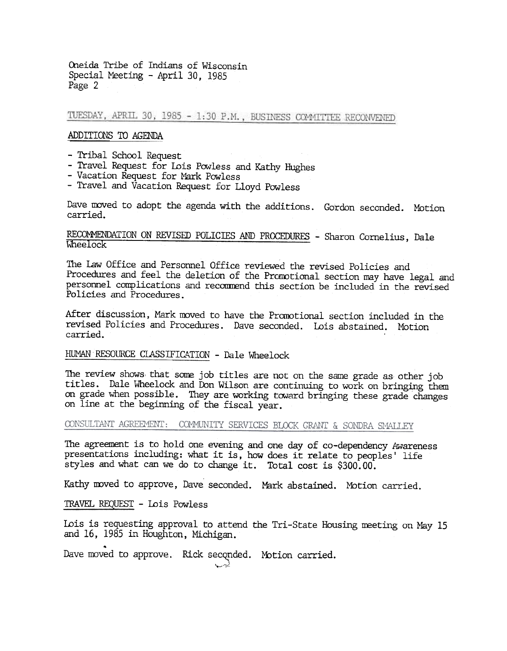Oneida Tribe of Indians of Wisconsin Special Meeting - April 30, 1985 Page 2

TUESDAY, APRIL 30, 1985 - 1:30 P.M., BUSINESS COMMITTEE RECONVENED

#### ADDITIONS TO AGENDA

- -Tribal School Request
- Travel Request for Lois Powless and Kathy Hughes
- Vacation Request for Mark Powless
- -Travel and Vacation Request for Lloyd Powless

Dave moved to adopt the agenda with the additions. Gordon seconded. Motion carried.

# RECOMMENDATION ON REVISED POLICIES AND PROCEDURES - Sharon Cornelius, Dal

The Law Office and Personnel Office reviewed the revised Policies and Procedures and feel the deletion of the Promotional section may have legal and personnel complications and recommend this section be included in the revised Policies and Procedures.

After discussion, Mark moved to have the Pranotional section included in the revised Policies and Procedures. Dave seconded. Lois abstained. Motion carried.

#### HUMAN RESOURCE CLASSIFICATION - Dale Wheelock

The review shows, that some job titles are not on the same grade as other job titles. Dale Wheelock and Don Wilson are continuing to work on bringing them on grade when possible. They are working toward bringing these grade changes on line at the beginning of the fiscal year.

CONSULTANT AGREEMENT: COMMUNITY SERVICES BLOCK GRANT & SONDRA SMALLEY

The agreement is to hold one evening and one day of co-dependency Awareness presentations including: what it is, how does it relate to peoples' life styles and what can we do to change it. Total cost is \$300.00.

Kathy moved to approve, Dave seconded. Mark abstained. Motion carried.

TRAVEL REQUEST - Lois Powless

Lois is requesting approval to attend the Tri-State Housing meeting on May 15 and 16, 1985 in Houghton, Michigan. -

Dave moved to approve. Rick seconded.  $\sim$   $\,$ Motion carried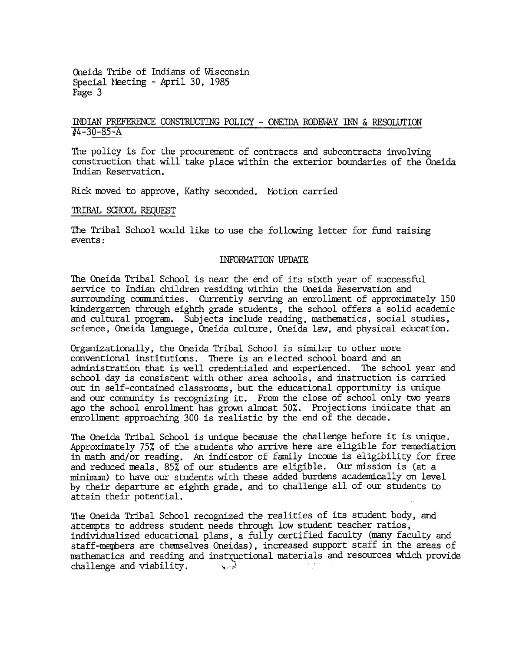Oneida Tribe of Indians of Wisconsin Special Meeting - April 30, 1985 Page 3

#### INDIAN PREFERENCE CONSTRUCTING POLICY - ONEIDA RODEWAY INN & RESOLUTION  $\sqrt{44-30-85-A}$

The policy is for the procurement of contracts and subcontracts involving construction that will take place within the exterior boundaries of the Oneida Indian Reservation.

Rick moved to approve, Kathy seconded. Motion carried

#### lRIBAL SCHOOL REQUEST

The Tribal School would like to use the following letter for fund raising events:

#### INFORMATION UPDATE

The Oneida Tribal School is near the end of its sixth year of successful service to Indian children residing within the Oneida Reservation and surrounding communities. Currently serving an enrollment of approximately 150 kindergarten through eighth grade students, the school offers a solid academic and cultural program. Subjects include reading, mathematics, social studies, science, Oneida language, Oneida culture. Oneida law, and physical education.

Organizationally, the Oneida Tribal School is similar to other more conventional institutions. There is an elected school board and an administration that is well credentialed and experienced. The school year and school day is consistent with other area schools, and instruction is carried out in self-contained classroans, but the educational opportlmity is unique and our community is recognizing it. From the close of school only two years ago the school enrollment has grown almost 50%. Projections indicate that an enrollment approaching 300 is realistic by the end of the decade.

The Oneida Tribal School is tmique because the challenge before it is unique. Approximately 75% of the students who arrive here are eligible for remediation in math and/or reading. An indicator of family income is eligibility for free and reduced meals, 85% of our students are eligible. OUr mission is (at a minimum) to have our students with these added burdens academically on level by their departure at eighth grade, and to challenge all. of our students to attain their potential.

The Oneida Tribal SChool recognized the realities of its student body, and attempts to address student needs through low student teacher ratios, individualized educational plans, a fully certified faculty (many faculty and staff-members are themselves Oneidas), increased support staff in the areas of mathematics and reading and instructional materials and resources which provide challenge and viability.  $\qquad \qquad \downarrow \qquad$